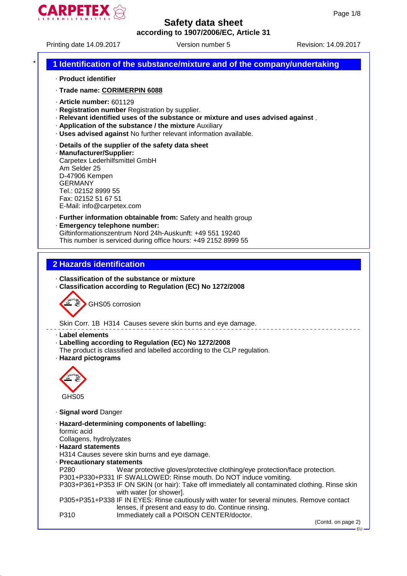

Printing date 14.09.2017 Version number 5 Revision: 14.09.2017

# \* **1 Identification of the substance/mixture and of the company/undertaking**

- · **Product identifier**
- · **Trade name: CORIMERPIN 6088**
- · **Article number:** 601129
- · **Registration number** Registration by supplier.
- · **Relevant identified uses of the substance or mixture and uses advised against** .
- · **Application of the substance / the mixture** Auxiliary
- · **Uses advised against** No further relevant information available.
- · **Details of the supplier of the safety data sheet**
- · **Manufacturer/Supplier:**

Carpetex Lederhilfsmittel GmbH Am Selder 25 D-47906 Kempen GERMANY Tel.: 02152 8999 55 Fax: 02152 51 67 51 E-Mail: info@carpetex.com

- · **Further information obtainable from:** Safety and health group
- · **Emergency telephone number:**

Giftinformationszentrum Nord 24h-Auskunft: +49 551 19240 This number is serviced during office hours: +49 2152 8999 55

#### **2 Hazards identification**

- · **Classification of the substance or mixture**
- · **Classification according to Regulation (EC) No 1272/2008**



Skin Corr. 1B H314 Causes severe skin burns and eye damage.

- · **Label elements**
- · **Labelling according to Regulation (EC) No 1272/2008**
- The product is classified and labelled according to the CLP regulation.
- · **Hazard pictograms**



- · **Signal word** Danger
- · **Hazard-determining components of labelling:** formic acid Collagens, hydrolyzates
- · **Hazard statements**
- H314 Causes severe skin burns and eye damage.
- · **Precautionary statements**

P280 Wear protective gloves/protective clothing/eye protection/face protection. P301+P330+P331 IF SWALLOWED: Rinse mouth. Do NOT induce vomiting. P303+P361+P353 IF ON SKIN (or hair): Take off immediately all contaminated clothing. Rinse skin with water [or shower]. P305+P351+P338 IF IN EYES: Rinse cautiously with water for several minutes. Remove contact lenses, if present and easy to do. Continue rinsing. P310 Immediately call a POISON CENTER/doctor.

(Contd. on page 2)

EU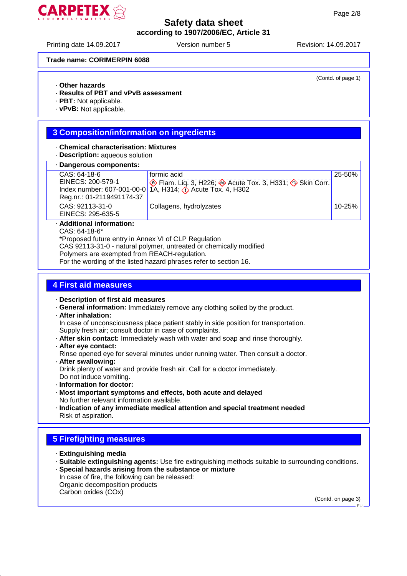

Printing date 14.09.2017 Version number 5 Revision: 14.09.2017

(Contd. of page 1)

#### **Trade name: CORIMERPIN 6088**

- · **Other hazards**
- · **Results of PBT and vPvB assessment**
- · **PBT:** Not applicable.
- · **vPvB:** Not applicable.

# **3 Composition/information on ingredients**

- · **Chemical characterisation: Mixtures**
- · **Description:** aqueous solution
- · **Dangerous components:**

| - Dangerous components.   |                                                                                          |        |
|---------------------------|------------------------------------------------------------------------------------------|--------|
| CAS: 64-18-6              | formic acid                                                                              | 25-50% |
| EINECS: 200-579-1         | <b>Example 2.</b> Flam. Liq. 3, H226; $\otimes$ Acute Tox. 3, H331; $\otimes$ Skin Corr. |        |
|                           | Index number: 607-001-00-0 1A, H314; $\leftrightarrow$ Acute Tox. 4, H302                |        |
| Reg.nr.: 01-2119491174-37 |                                                                                          |        |
| CAS: 92113-31-0           | Collagens, hydrolyzates                                                                  | 10-25% |
| EINECS: 295-635-5         |                                                                                          |        |
|                           |                                                                                          |        |

· **Additional information:**

CAS: 64-18-6\*

\*Proposed future entry in Annex VI of CLP Regulation

CAS 92113-31-0 - natural polymer, untreated or chemically modified

Polymers are exempted from REACH-regulation.

For the wording of the listed hazard phrases refer to section 16.

# **4 First aid measures**

· **Description of first aid measures**

· **General information:** Immediately remove any clothing soiled by the product.

· **After inhalation:**

In case of unconsciousness place patient stably in side position for transportation. Supply fresh air; consult doctor in case of complaints.

- · **After skin contact:** Immediately wash with water and soap and rinse thoroughly.
- · **After eye contact:**

Rinse opened eye for several minutes under running water. Then consult a doctor.

- · **After swallowing:** Drink plenty of water and provide fresh air. Call for a doctor immediately. Do not induce vomiting.
- · **Information for doctor:**
- · **Most important symptoms and effects, both acute and delayed** No further relevant information available.
- · **Indication of any immediate medical attention and special treatment needed** Risk of aspiration.

# **5 Firefighting measures**

- · **Extinguishing media**
- · **Suitable extinguishing agents:** Use fire extinguishing methods suitable to surrounding conditions. · **Special hazards arising from the substance or mixture**
- In case of fire, the following can be released: Organic decomposition products

Carbon oxides (COx)

(Contd. on page 3)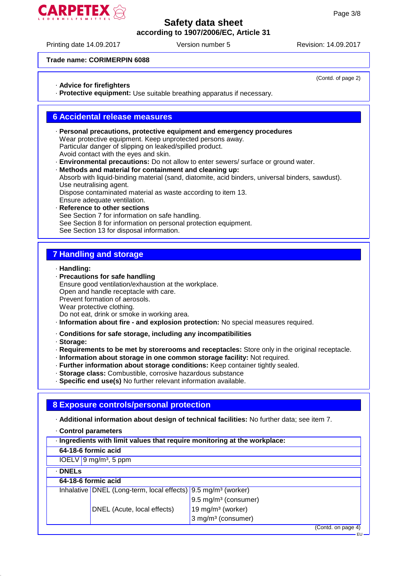# **ARPETEX**

#### **Safety data sheet according to 1907/2006/EC, Article 31**

Printing date 14.09.2017 Version number 5 Revision: 14.09.2017

(Contd. of page 2)

EU

#### **Trade name: CORIMERPIN 6088**

#### · **Advice for firefighters**

· **Protective equipment:** Use suitable breathing apparatus if necessary.

#### **6 Accidental release measures**

· **Personal precautions, protective equipment and emergency procedures** Wear protective equipment. Keep unprotected persons away. Particular danger of slipping on leaked/spilled product. Avoid contact with the eyes and skin. · **Environmental precautions:** Do not allow to enter sewers/ surface or ground water.

- · **Methods and material for containment and cleaning up:** Absorb with liquid-binding material (sand, diatomite, acid binders, universal binders, sawdust). Use neutralising agent. Dispose contaminated material as waste according to item 13. Ensure adequate ventilation. **Reference to other sections**
- See Section 7 for information on safe handling. See Section 8 for information on personal protection equipment. See Section 13 for disposal information.

#### **7 Handling and storage**

- · **Handling:**
- · **Precautions for safe handling** Ensure good ventilation/exhaustion at the workplace. Open and handle receptacle with care. Prevent formation of aerosols. Wear protective clothing. Do not eat, drink or smoke in working area.
- · **Information about fire and explosion protection:** No special measures required.
- · **Conditions for safe storage, including any incompatibilities**

· **Storage:**

- · **Requirements to be met by storerooms and receptacles:** Store only in the original receptacle.
- · **Information about storage in one common storage facility:** Not required.
- · **Further information about storage conditions:** Keep container tightly sealed.
- · **Storage class:** Combustible, corrosive hazardous substance
- · **Specific end use(s)** No further relevant information available.

# **8 Exposure controls/personal protection**

· **Additional information about design of technical facilities:** No further data; see item 7.

· **Control parameters**

| · Ingredients with limit values that require monitoring at the workplace: |                                                                           |                                  |  |
|---------------------------------------------------------------------------|---------------------------------------------------------------------------|----------------------------------|--|
|                                                                           | 64-18-6 formic acid                                                       |                                  |  |
|                                                                           | $IOELV$ 9 mg/m <sup>3</sup> , 5 ppm                                       |                                  |  |
| $\cdot$ DNELs                                                             |                                                                           |                                  |  |
|                                                                           | 64-18-6 formic acid                                                       |                                  |  |
|                                                                           | Inhalative DNEL (Long-term, local effects) 9.5 mg/m <sup>3</sup> (worker) |                                  |  |
|                                                                           |                                                                           | 9.5 mg/m <sup>3</sup> (consumer) |  |
|                                                                           | DNEL (Acute, local effects)                                               | 19 mg/m <sup>3</sup> (worker)    |  |
|                                                                           |                                                                           | 3 mg/m <sup>3</sup> (consumer)   |  |
|                                                                           |                                                                           | (Contd. on page 4)               |  |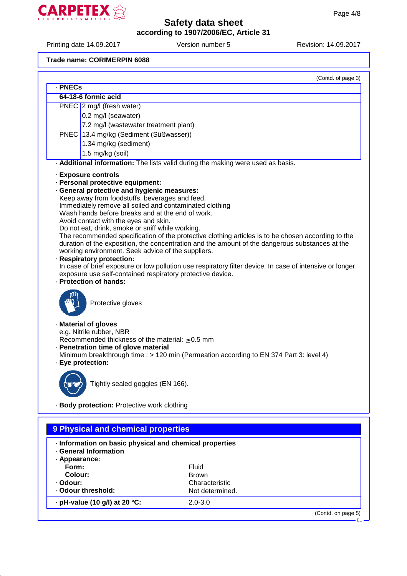

Printing date 14.09.2017 Version number 5 Revision: 14.09.2017

#### **Trade name: CORIMERPIN 6088**

|                                                                                                                                       |                                                                                              | (Contd. of page 3)                                                                                                                                                                                    |  |
|---------------------------------------------------------------------------------------------------------------------------------------|----------------------------------------------------------------------------------------------|-------------------------------------------------------------------------------------------------------------------------------------------------------------------------------------------------------|--|
| · PNECs                                                                                                                               |                                                                                              |                                                                                                                                                                                                       |  |
|                                                                                                                                       | 64-18-6 formic acid                                                                          |                                                                                                                                                                                                       |  |
|                                                                                                                                       | PNEC 2 mg/l (fresh water)                                                                    |                                                                                                                                                                                                       |  |
|                                                                                                                                       | 0.2 mg/l (seawater)                                                                          |                                                                                                                                                                                                       |  |
|                                                                                                                                       | 7.2 mg/l (wastewater treatment plant)                                                        |                                                                                                                                                                                                       |  |
|                                                                                                                                       | PNEC 13.4 mg/kg (Sediment (Süßwasser))                                                       |                                                                                                                                                                                                       |  |
|                                                                                                                                       | 1.34 mg/kg (sediment)                                                                        |                                                                                                                                                                                                       |  |
|                                                                                                                                       |                                                                                              |                                                                                                                                                                                                       |  |
|                                                                                                                                       | 1.5 mg/kg (soil)                                                                             |                                                                                                                                                                                                       |  |
|                                                                                                                                       |                                                                                              | . Additional information: The lists valid during the making were used as basis.                                                                                                                       |  |
|                                                                                                                                       | · Exposure controls                                                                          |                                                                                                                                                                                                       |  |
|                                                                                                                                       | · Personal protective equipment:                                                             |                                                                                                                                                                                                       |  |
|                                                                                                                                       | · General protective and hygienic measures:                                                  |                                                                                                                                                                                                       |  |
|                                                                                                                                       | Keep away from foodstuffs, beverages and feed.                                               |                                                                                                                                                                                                       |  |
|                                                                                                                                       | Immediately remove all soiled and contaminated clothing                                      |                                                                                                                                                                                                       |  |
|                                                                                                                                       | Wash hands before breaks and at the end of work.                                             |                                                                                                                                                                                                       |  |
|                                                                                                                                       | Avoid contact with the eyes and skin.                                                        |                                                                                                                                                                                                       |  |
|                                                                                                                                       | Do not eat, drink, smoke or sniff while working.                                             |                                                                                                                                                                                                       |  |
|                                                                                                                                       |                                                                                              | The recommended specification of the protective clothing articles is to be chosen according to the<br>duration of the exposition, the concentration and the amount of the dangerous substances at the |  |
|                                                                                                                                       |                                                                                              |                                                                                                                                                                                                       |  |
| working environment. Seek advice of the suppliers.                                                                                    |                                                                                              |                                                                                                                                                                                                       |  |
| · Respiratory protection:<br>In case of brief exposure or low pollution use respiratory filter device. In case of intensive or longer |                                                                                              |                                                                                                                                                                                                       |  |
|                                                                                                                                       | exposure use self-contained respiratory protective device.                                   |                                                                                                                                                                                                       |  |
|                                                                                                                                       | · Protection of hands:                                                                       |                                                                                                                                                                                                       |  |
|                                                                                                                                       | Protective gloves                                                                            |                                                                                                                                                                                                       |  |
|                                                                                                                                       | · Material of gloves                                                                         |                                                                                                                                                                                                       |  |
|                                                                                                                                       | e.g. Nitrile rubber, NBR                                                                     |                                                                                                                                                                                                       |  |
|                                                                                                                                       | Recommended thickness of the material: $\geq 0.5$ mm<br>· Penetration time of glove material |                                                                                                                                                                                                       |  |
|                                                                                                                                       |                                                                                              | Minimum breakthrough time : > 120 min (Permeation according to EN 374 Part 3: level 4)                                                                                                                |  |
|                                                                                                                                       |                                                                                              |                                                                                                                                                                                                       |  |
| · Eye protection:                                                                                                                     |                                                                                              |                                                                                                                                                                                                       |  |
|                                                                                                                                       |                                                                                              |                                                                                                                                                                                                       |  |
| `U*U')                                                                                                                                | Tightly sealed goggles (EN 166).                                                             |                                                                                                                                                                                                       |  |
|                                                                                                                                       |                                                                                              |                                                                                                                                                                                                       |  |
|                                                                                                                                       | · Body protection: Protective work clothing                                                  |                                                                                                                                                                                                       |  |
|                                                                                                                                       |                                                                                              |                                                                                                                                                                                                       |  |
|                                                                                                                                       | 9 Physical and chemical properties                                                           |                                                                                                                                                                                                       |  |
|                                                                                                                                       | · Information on basic physical and chemical properties                                      |                                                                                                                                                                                                       |  |
|                                                                                                                                       | · General Information                                                                        |                                                                                                                                                                                                       |  |
| · Appearance:                                                                                                                         |                                                                                              |                                                                                                                                                                                                       |  |
| Form:                                                                                                                                 |                                                                                              | Fluid                                                                                                                                                                                                 |  |
| Colour:                                                                                                                               |                                                                                              | <b>Brown</b>                                                                                                                                                                                          |  |
| · Odour:                                                                                                                              |                                                                                              | Characteristic                                                                                                                                                                                        |  |
|                                                                                                                                       | · Odour threshold:                                                                           | Not determined.                                                                                                                                                                                       |  |
|                                                                                                                                       |                                                                                              |                                                                                                                                                                                                       |  |
|                                                                                                                                       | · pH-value (10 g/l) at 20 °C:                                                                | $2.0 - 3.0$                                                                                                                                                                                           |  |
|                                                                                                                                       |                                                                                              | (Contd. on page 5)                                                                                                                                                                                    |  |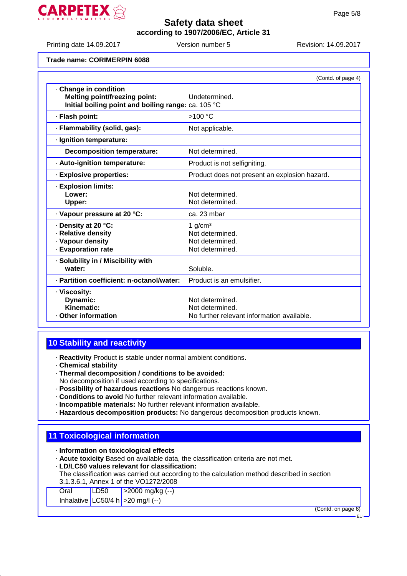

Printing date 14.09.2017 Version number 5 Revision: 14.09.2017

#### **Trade name: CORIMERPIN 6088**

|                                                                                                                      | (Contd. of page 4)                                                               |
|----------------------------------------------------------------------------------------------------------------------|----------------------------------------------------------------------------------|
| · Change in condition<br><b>Melting point/freezing point:</b><br>Initial boiling point and boiling range: ca. 105 °C | Undetermined.                                                                    |
| · Flash point:                                                                                                       | $>100$ °C                                                                        |
| · Flammability (solid, gas):                                                                                         | Not applicable.                                                                  |
| · Ignition temperature:                                                                                              |                                                                                  |
| <b>Decomposition temperature:</b>                                                                                    | Not determined.                                                                  |
| · Auto-ignition temperature:                                                                                         | Product is not selfigniting.                                                     |
| · Explosive properties:                                                                                              | Product does not present an explosion hazard.                                    |
| · Explosion limits:<br>Lower:<br>Upper:                                                                              | Not determined.<br>Not determined.                                               |
| · Vapour pressure at 20 °C:                                                                                          | ca. 23 mbar                                                                      |
| · Density at 20 °C:<br>· Relative density<br>· Vapour density<br>· Evaporation rate                                  | 1 $g/cm3$<br>Not determined.<br>Not determined.<br>Not determined.               |
| · Solubility in / Miscibility with<br>water:                                                                         | Soluble.                                                                         |
| · Partition coefficient: n-octanol/water:                                                                            | Product is an emulsifier.                                                        |
| · Viscosity:<br>Dynamic:<br>Kinematic:<br><b>Other information</b>                                                   | Not determined.<br>Not determined.<br>No further relevant information available. |

#### **10 Stability and reactivity**

- · **Reactivity** Product is stable under normal ambient conditions.
- · **Chemical stability**
- · **Thermal decomposition / conditions to be avoided:**
- No decomposition if used according to specifications.
- · **Possibility of hazardous reactions** No dangerous reactions known.
- · **Conditions to avoid** No further relevant information available.
- · **Incompatible materials:** No further relevant information available.
- · **Hazardous decomposition products:** No dangerous decomposition products known.

# **11 Toxicological information**

- · **Information on toxicological effects**
- · **Acute toxicity** Based on available data, the classification criteria are not met.
- · **LD/LC50 values relevant for classification:**
- The classification was carried out according to the calculation method described in section 3.1.3.6.1, Annex 1 of the VO1272/2008

| Oral | LD50 | $  > 2000$ mg/kg (--)                |                    |
|------|------|--------------------------------------|--------------------|
|      |      | Inhalative LC50/4 h $>$ 20 mg/l (--) |                    |
|      |      |                                      | (Contd. on page 6) |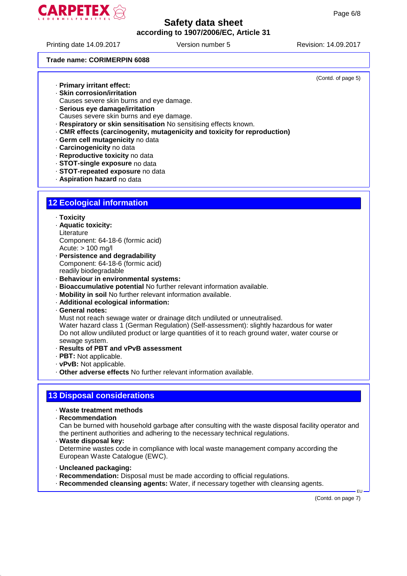

Printing date 14.09.2017 Version number 5 Revision: 14.09.2017

(Contd. of page 5)

#### **Trade name: CORIMERPIN 6088**

· **Primary irritant effect:**

- · **Skin corrosion/irritation**
- Causes severe skin burns and eye damage.
- · **Serious eye damage/irritation**
- Causes severe skin burns and eye damage.
- · **Respiratory or skin sensitisation** No sensitising effects known.
- · **CMR effects (carcinogenity, mutagenicity and toxicity for reproduction)**
- · **Germ cell mutagenicity** no data
- · **Carcinogenicity** no data
- · **Reproductive toxicity** no data
- · **STOT-single exposure** no data
- · **STOT-repeated exposure** no data
- · **Aspiration hazard** no data

#### **12 Ecological information**

- · **Toxicity**
- · **Aquatic toxicity:**
- **Literature** Component: 64-18-6 (formic acid) Acute: > 100 mg/l
- · **Persistence and degradability**
- Component: 64-18-6 (formic acid)
- readily biodegradable
- · **Behaviour in environmental systems:**
- · **Bioaccumulative potential** No further relevant information available.
- · **Mobility in soil** No further relevant information available.
- · **Additional ecological information:**
- · **General notes:**

Must not reach sewage water or drainage ditch undiluted or unneutralised.

Water hazard class 1 (German Regulation) (Self-assessment): slightly hazardous for water Do not allow undiluted product or large quantities of it to reach ground water, water course or sewage system.

- · **Results of PBT and vPvB assessment**
- · **PBT:** Not applicable.
- · **vPvB:** Not applicable.
- · **Other adverse effects** No further relevant information available.

#### **13 Disposal considerations**

#### · **Waste treatment methods**

· **Recommendation**

Can be burned with household garbage after consulting with the waste disposal facility operator and the pertinent authorities and adhering to the necessary technical regulations.

· **Waste disposal key:**

Determine wastes code in compliance with local waste management company according the European Waste Catalogue (EWC).

- · **Uncleaned packaging:**
- · **Recommendation:** Disposal must be made according to official regulations.
- · **Recommended cleansing agents:** Water, if necessary together with cleansing agents.

(Contd. on page 7)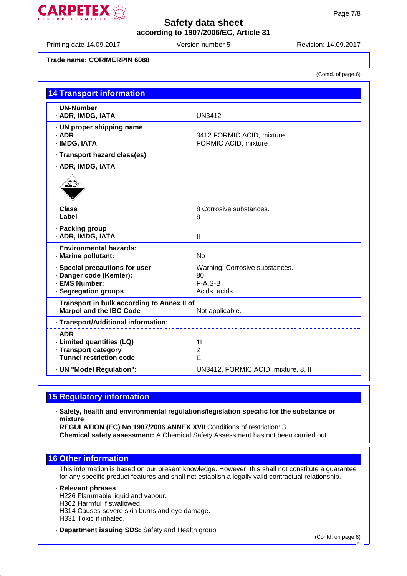

Printing date 14.09.2017 **Version number 5** Revision: 14.09.2017

#### **Trade name: CORIMERPIN 6088**

(Contd. of page 6)

| <b>14 Transport information</b>                                                |                                     |
|--------------------------------------------------------------------------------|-------------------------------------|
| · UN-Number                                                                    |                                     |
| · ADR, IMDG, IATA                                                              | <b>UN3412</b>                       |
| · UN proper shipping name<br>$·$ ADR                                           | 3412 FORMIC ACID, mixture           |
| · IMDG, IATA                                                                   | FORMIC ACID, mixture                |
| · Transport hazard class(es)                                                   |                                     |
| · ADR, IMDG, IATA                                                              |                                     |
|                                                                                |                                     |
| · Class                                                                        | 8 Corrosive substances.             |
| · Label                                                                        | 8                                   |
| · Packing group<br>· ADR, IMDG, IATA                                           | Ш                                   |
| · Environmental hazards:<br>· Marine pollutant:                                | <b>No</b>                           |
| · Special precautions for user                                                 | Warning: Corrosive substances.      |
| · Danger code (Kemler):                                                        | 80                                  |
| · EMS Number:<br>· Segregation groups                                          | $F-A.S-B$<br>Acids, acids           |
|                                                                                |                                     |
| · Transport in bulk according to Annex II of<br><b>Marpol and the IBC Code</b> | Not applicable.                     |
| · Transport/Additional information:                                            |                                     |
| $·$ ADR                                                                        |                                     |
| · Limited quantities (LQ)                                                      | 1L                                  |
| · Transport category                                                           | $\overline{2}$                      |
| · Tunnel restriction code                                                      | E                                   |
| · UN "Model Regulation":                                                       | UN3412, FORMIC ACID, mixture, 8, II |

# **15 Regulatory information**

- · **Safety, health and environmental regulations/legislation specific for the substance or mixture**
- · **REGULATION (EC) No 1907/2006 ANNEX XVII** Conditions of restriction: 3
- · **Chemical safety assessment:** A Chemical Safety Assessment has not been carried out.

#### **16 Other information**

This information is based on our present knowledge. However, this shall not constitute a guarantee for any specific product features and shall not establish a legally valid contractual relationship.

· **Relevant phrases**

H226 Flammable liquid and vapour.

H302 Harmful if swallowed.

H314 Causes severe skin burns and eye damage.

H331 Toxic if inhaled.

· **Department issuing SDS:** Safety and Health group

(Contd. on page 8)

EU